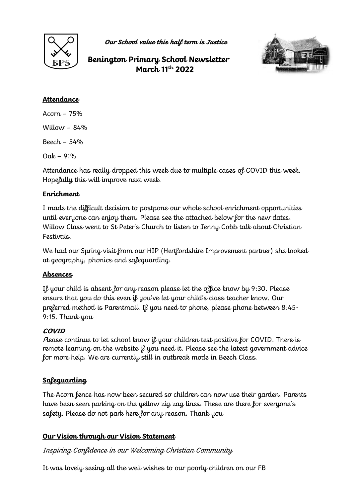

**Our School value this half term is Justice**

**Benington Primary School Newsletter March 11th 2022** 



### **Attendance**

Acorn – 75%  $William - 84%$ Beech – 54% Oak – 91%

Attendance has really dropped this week due to multiple cases of COVID this week. Hopefully this will improve next week.

### **Enrichment**

I made the difficult decision to postpone our whole school enrichment opportunities until everyone can enjoy them. Please see the attached below for the new dates. Willow Class went to St Peter's Church to listen to Jenny Cobb talk about Christian Festivals.

We had our Spring visit from our HIP (Hertfordshire Improvement partner) she looked at geography, phonics and safeguarding.

# **Absences**

If your child is absent for any reason please let the office know by 9:30. Please ensure that you do this even if you've let your child's class teacher know. Our preferred method is Parentmail. If you need to phone, please phone between 8:45- 9:15. Thank you

# **COVID**

<sup>P</sup>lease continue to let school know if your children test positive for COVID. There is remote learning on the website if you need it. Please see the latest government advice for more help. We are currently still in outbreak mode in Beech Class.

# **Safeguarding**

The Acorn fence has now been secured so children can now use their garden. Parents have been seen parking on the yellow zig zag lines. These are there for everyone's safety. Please do not park here for any reason. Thank you

### **Our Vision through our Vision Statement**

Inspiring Confidence in our Welcoming Christian Community

It was lovely seeing all the well wishes to our poorly children on our FB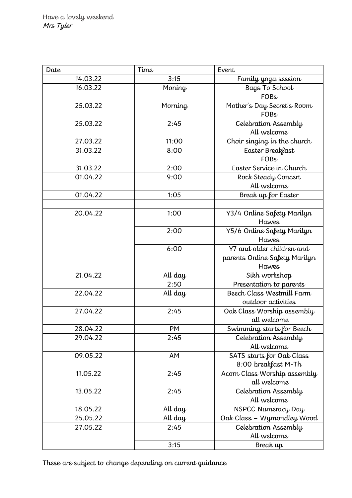| Date     | Time    | Event                         |
|----------|---------|-------------------------------|
| 14.03.22 | 3:15    | Family yoga session           |
| 16.03.22 | Moning  | Bags To School                |
|          |         | <b>FOBs</b>                   |
| 25.03.22 | Morning | Mother's Day Secret's Room    |
|          |         | <b>FOBs</b>                   |
| 25.03.22 | 2:45    | Celebration Assembly          |
|          |         | All welcome                   |
| 27.03.22 | 11:00   | Choir singing in the church   |
| 31.03.22 | 8:00    | Easter Breakfast              |
|          |         | <b>FOBs</b>                   |
| 31.03.22 | 2:00    | Easter Service in Church      |
| 01.04.22 | 9:00    | Rock Steady Concert           |
|          |         | All welcome                   |
| 01.04.22 | 1:05    | Break up for Easter           |
|          |         |                               |
| 20.04.22 | 1:00    | Y3/4 Online Safety Marilyn    |
|          |         | <b>Hawes</b>                  |
|          | 2:00    | Y5/6 Online Safety Marilyn    |
|          |         | <b>Hawes</b>                  |
|          | 6:00    | Y7 and older children and     |
|          |         | parents Online Safety Marilyn |
|          |         | <b>Hawes</b>                  |
| 21.04.22 | All day | Sikh workshop                 |
|          | 2:50    | Presentation to parents       |
| 22.04.22 | All day | Beech Class Westmill Farm     |
|          |         | outdoor activities            |
| 27.04.22 | 2:45    | Oak Class Worship assembly    |
|          |         | all welcome                   |
| 28.04.22 | PM      | Swimming starts for Beech     |
| 29.04.22 | 2:45    | Celebration Assembly          |
|          |         | All welcome                   |
| 09.05.22 | AM      | SATS starts for Oak Class     |
|          |         | 8:00 breakfast M-Th           |
| 11.05.22 | 2:45    | Acorn Class Worship assembly  |
|          |         | all welcome                   |
| 13.05.22 | 2:45    | Celebration Assembly          |
|          |         | All welcome                   |
| 18.05.22 | All day | NSPCC Numeracy Day            |
| 25.05.22 | All day | Oak Class - Wymondley Wood    |
| 27.05.22 | 2:45    | Celebration Assembly          |
|          |         | All welcome                   |
|          | 3:15    | Break up                      |

These are subject to change depending on current guidance.